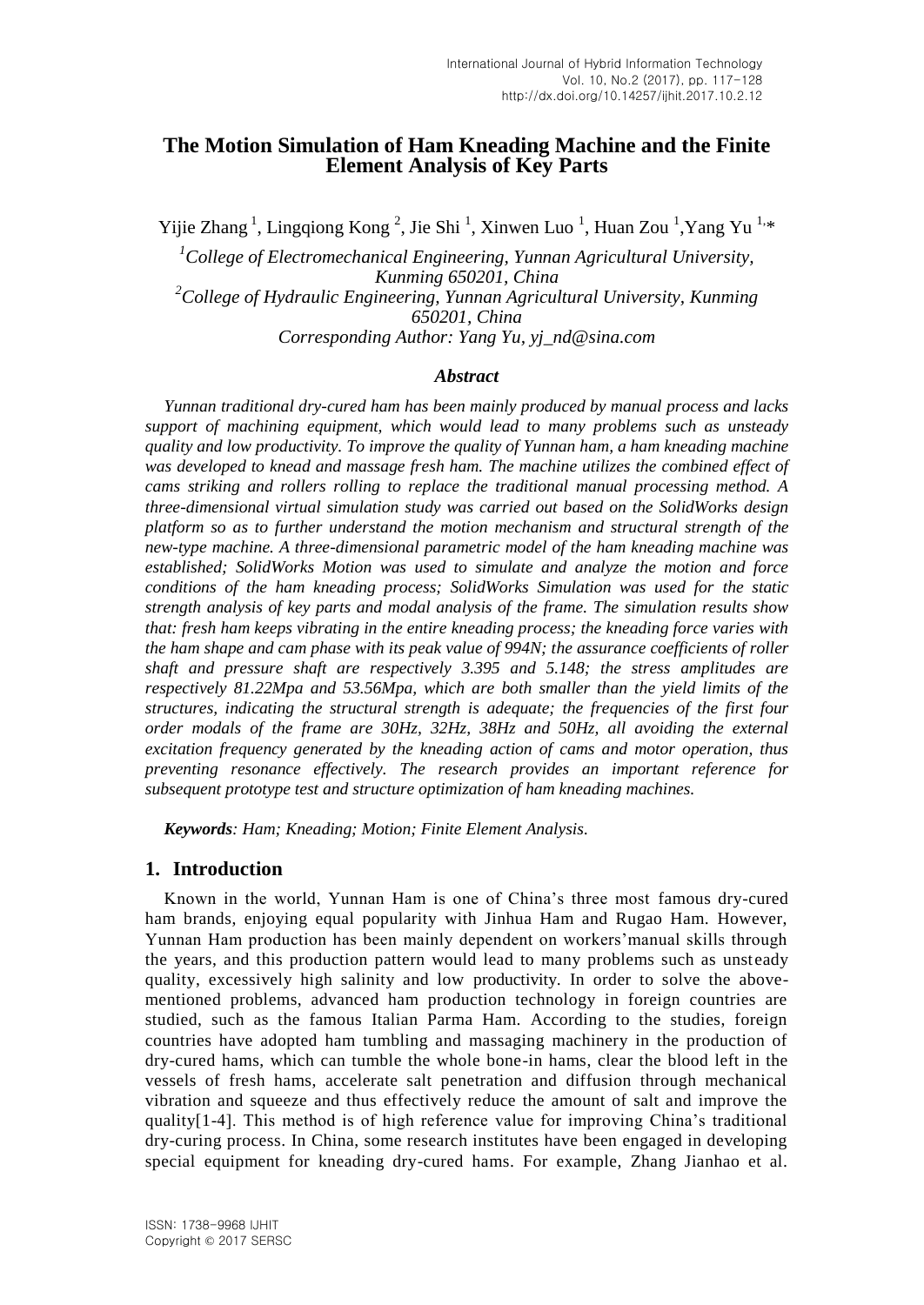# **The Motion Simulation of Ham Kneading Machine and the Finite Element Analysis of Key Parts**

Yijie Zhang<sup>1</sup>, Lingqiong Kong<sup>2</sup>, Jie Shi<sup>1</sup>, Xinwen Luo<sup>1</sup>, Huan Zou<sup>1</sup>, Yang Yu<sup>1,\*</sup>

*<sup>1</sup>College of Electromechanical Engineering, Yunnan Agricultural University, Kunming 650201, China <sup>2</sup>College of Hydraulic Engineering, Yunnan Agricultural University, Kunming 650201, China Corresponding Author: Yang Yu, yj\_nd@sina.com*

#### *Abstract*

*Yunnan traditional dry-cured ham has been mainly produced by manual process and lacks support of machining equipment, which would lead to many problems such as unsteady quality and low productivity. To improve the quality of Yunnan ham, a ham kneading machine was developed to knead and massage fresh ham. The machine utilizes the combined effect of cams striking and rollers rolling to replace the traditional manual processing method. A three-dimensional virtual simulation study was carried out based on the SolidWorks design platform so as to further understand the motion mechanism and structural strength of the new-type machine. A three-dimensional parametric model of the ham kneading machine was established; SolidWorks Motion was used to simulate and analyze the motion and force conditions of the ham kneading process; SolidWorks Simulation was used for the static strength analysis of key parts and modal analysis of the frame. The simulation results show that: fresh ham keeps vibrating in the entire kneading process; the kneading force varies with the ham shape and cam phase with its peak value of 994N; the assurance coefficients of roller shaft and pressure shaft are respectively 3.395 and 5.148; the stress amplitudes are respectively 81.22Mpa and 53.56Mpa, which are both smaller than the yield limits of the structures, indicating the structural strength is adequate; the frequencies of the first four order modals of the frame are 30Hz, 32Hz, 38Hz and 50Hz, all avoiding the external excitation frequency generated by the kneading action of cams and motor operation, thus preventing resonance effectively. The research provides an important reference for subsequent prototype test and structure optimization of ham kneading machines.*

*Keywords: Ham; Kneading; Motion; Finite Element Analysis.*

### **1. Introduction**

Known in the world, Yunnan Ham is one of China's three most famous dry-cured ham brands, enjoying equal popularity with Jinhua Ham and Rugao Ham. However, Yunnan Ham production has been mainly dependent on workers'manual skills through the years, and this production pattern would lead to many problems such as unsteady quality, excessively high salinity and low productivity. In order to solve the abovementioned problems, advanced ham production technology in foreign countries are studied, such as the famous Italian Parma Ham. According to the studies, foreign countries have adopted ham tumbling and massaging machinery in the production of dry-cured hams, which can tumble the whole bone-in hams, clear the blood left in the vessels of fresh hams, accelerate salt penetration and diffusion through mechanical vibration and squeeze and thus effectively reduce the amount of salt and improve the quality[1-4]. This method is of high reference value for improving China's traditional dry-curing process. In China, some research institutes have been engaged in developing special equipment for kneading dry-cured hams. For example, Zhang Jianhao et al.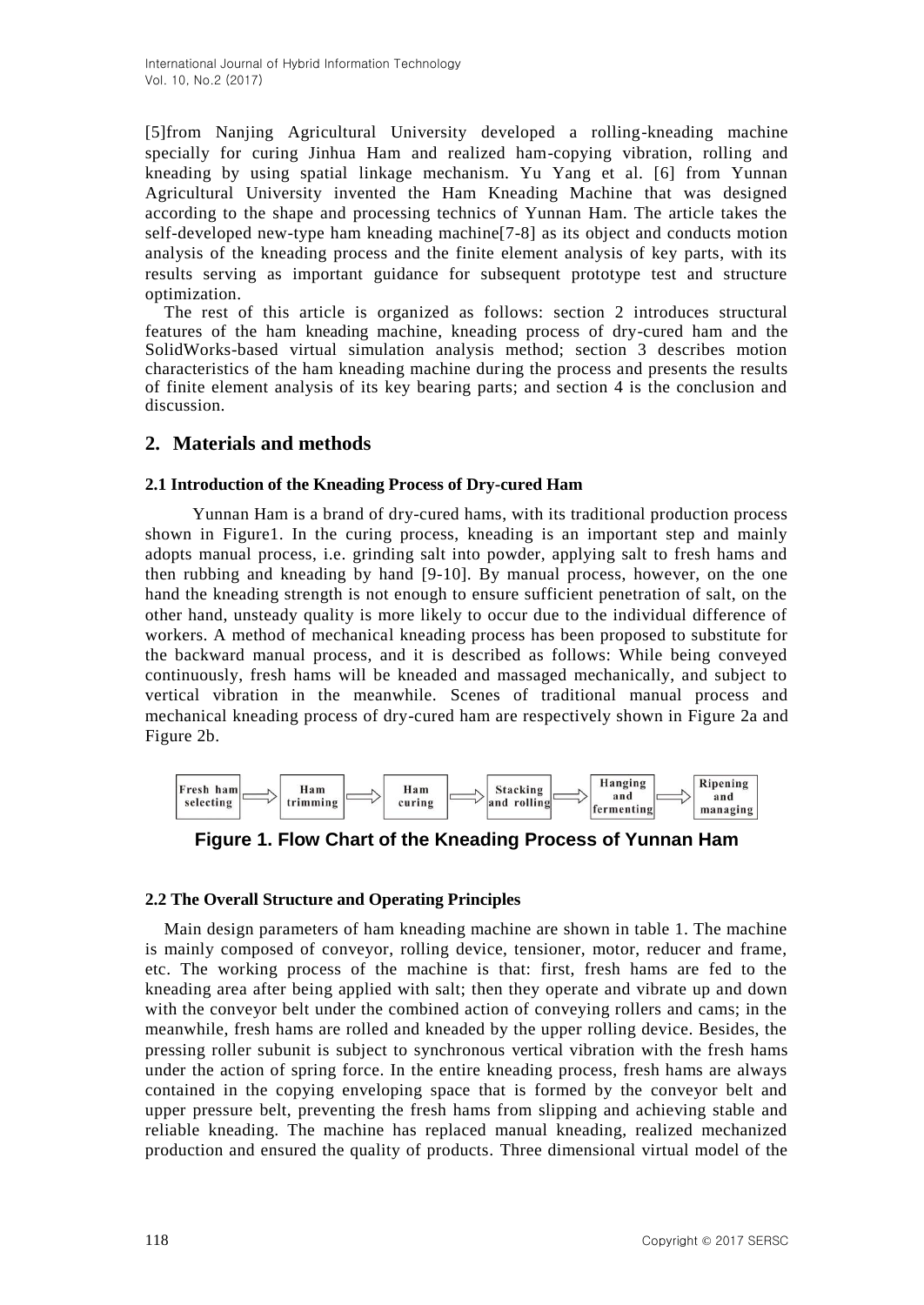[5]from Nanjing Agricultural University developed a rolling-kneading machine specially for curing Jinhua Ham and realized ham-copying vibration, rolling and kneading by using spatial linkage mechanism. Yu Yang et al. [6] from Yunnan Agricultural University invented the Ham Kneading Machine that was designed according to the shape and processing technics of Yunnan Ham. The article takes the self-developed new-type ham kneading machine[7-8] as its object and conducts motion analysis of the kneading process and the finite element analysis of key parts, with its results serving as important guidance for subsequent prototype test and structure optimization.

The rest of this article is organized as follows: section 2 introduces structural features of the ham kneading machine, kneading process of dry-cured ham and the SolidWorks-based virtual simulation analysis method; section 3 describes motion characteristics of the ham kneading machine during the process and presents the results of finite element analysis of its key bearing parts; and section 4 is the conclusion and discussion.

# **2. Materials and methods**

# **2.1 Introduction of the Kneading Process of Dry-cured Ham**

 Yunnan Ham is a brand of dry-cured hams, with its traditional production process shown in Figure1. In the curing process, kneading is an important step and mainly adopts manual process, i.e. grinding salt into powder, applying salt to fresh hams and then rubbing and kneading by hand [9-10]. By manual process, however, on the one hand the kneading strength is not enough to ensure sufficient penetration of salt, on the other hand, unsteady quality is more likely to occur due to the individual difference of workers. A method of mechanical kneading process has been proposed to substitute for the backward manual process, and it is described as follows: While being conveyed continuously, fresh hams will be kneaded and massaged mechanically, and subject to vertical vibration in the meanwhile. Scenes of traditional manual process and mechanical kneading process of dry-cured ham are respectively shown in Figure 2a and Figure 2b.



**Figure 1. Flow Chart of the Kneading Process of Yunnan Ham**

# **2.2 The Overall Structure and Operating Principles**

Main design parameters of ham kneading machine are shown in table 1. The machine is mainly composed of conveyor, rolling device, tensioner, motor, reducer and frame, etc. The working process of the machine is that: first, fresh hams are fed to the kneading area after being applied with salt; then they operate and vibrate up and down with the conveyor belt under the combined action of conveying rollers and cams; in the meanwhile, fresh hams are rolled and kneaded by the upper rolling device. Besides, the pressing roller subunit is subject to synchronous vertical vibration with the fresh hams under the action of spring force. In the entire kneading process, fresh hams are always contained in the copying enveloping space that is formed by the conveyor belt and upper pressure belt, preventing the fresh hams from slipping and achieving stable and reliable kneading. The machine has replaced manual kneading, realized mechanized production and ensured the quality of products. Three dimensional virtual model of the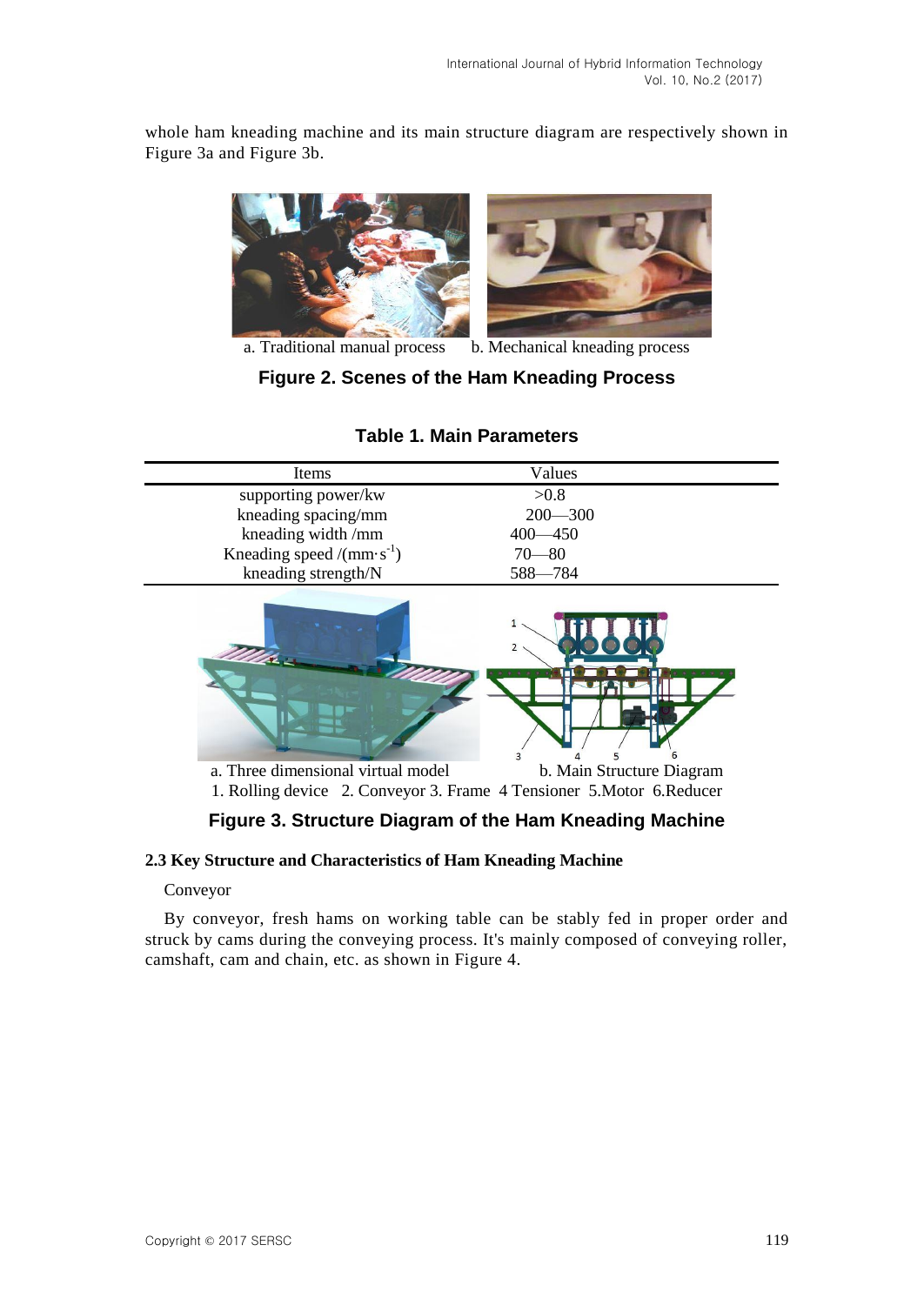whole ham kneading machine and its main structure diagram are respectively shown in Figure 3a and Figure 3b.



a. Traditional manual process b. Mechanical kneading process

**Figure 2. Scenes of the Ham Kneading Process**

| Items                                | Values      |
|--------------------------------------|-------------|
| supporting power/kw                  | > 0.8       |
| kneading spacing/mm                  | $200 - 300$ |
| kneading width /mm                   | $400 - 450$ |
| Kneading speed /( $mm\cdot s^{-1}$ ) | $70 - 80$   |
| kneading strength/N                  | 588-784     |

# **Table 1. Main Parameters**



# **Figure 3. Structure Diagram of the Ham Kneading Machine**

# **2.3 Key Structure and Characteristics of Ham Kneading Machine**

### Conveyor

By conveyor, fresh hams on working table can be stably fed in proper order and struck by cams during the conveying process. It's mainly composed of conveying roller, camshaft, cam and chain, etc. as shown in Figure 4.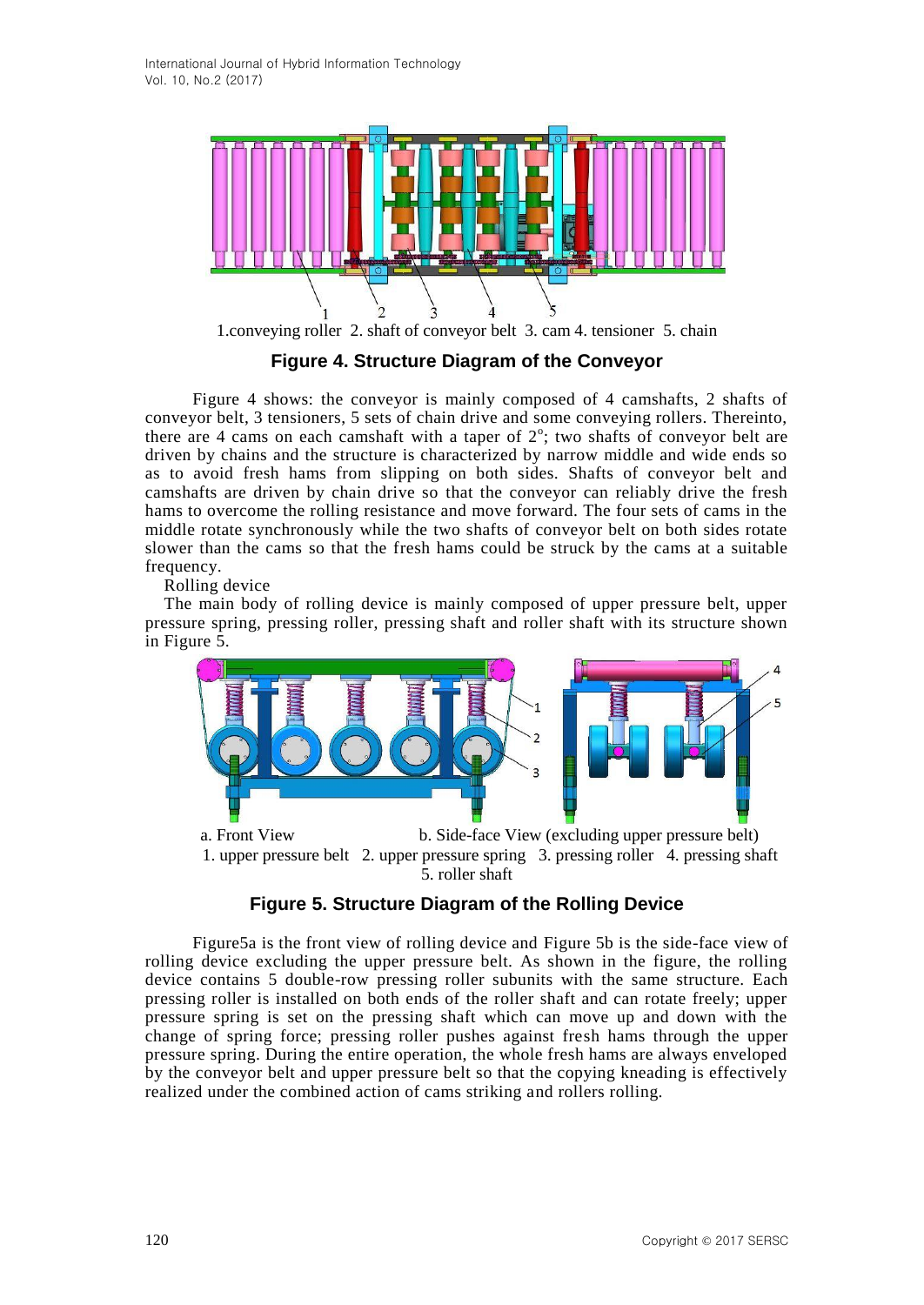

1.conveying roller 2. shaft of conveyor belt 3. cam 4. tensioner 5. chain

**Figure 4. Structure Diagram of the Conveyor**

 Figure 4 shows: the conveyor is mainly composed of 4 camshafts, 2 shafts of conveyor belt, 3 tensioners, 5 sets of chain drive and some conveying rollers. Thereinto, there are 4 cams on each camshaft with a taper of  $2^\circ$ ; two shafts of conveyor belt are driven by chains and the structure is characterized by narrow middle and wide ends so as to avoid fresh hams from slipping on both sides. Shafts of conveyor belt and camshafts are driven by chain drive so that the conveyor can reliably drive the fresh hams to overcome the rolling resistance and move forward. The four sets of cams in the middle rotate synchronously while the two shafts of conveyor belt on both sides rotate slower than the cams so that the fresh hams could be struck by the cams at a suitable frequency.

Rolling device

The main body of rolling device is mainly composed of upper pressure belt, upper pressure spring, pressing roller, pressing shaft and roller shaft with its structure shown in Figure 5.



 a. Front View b. Side-face View (excluding upper pressure belt) 1. upper pressure belt 2. upper pressure spring 3. pressing roller 4. pressing shaft 5. roller shaft

# **Figure 5. Structure Diagram of the Rolling Device**

 Figure5a is the front view of rolling device and Figure 5b is the side-face view of rolling device excluding the upper pressure belt. As shown in the figure, the rolling device contains 5 double-row pressing roller subunits with the same structure. Each pressing roller is installed on both ends of the roller shaft and can rotate freely; upper pressure spring is set on the pressing shaft which can move up and down with the change of spring force; pressing roller pushes against fresh hams through the upper pressure spring. During the entire operation, the whole fresh hams are always enveloped by the conveyor belt and upper pressure belt so that the copying kneading is effectively realized under the combined action of cams striking and rollers rolling.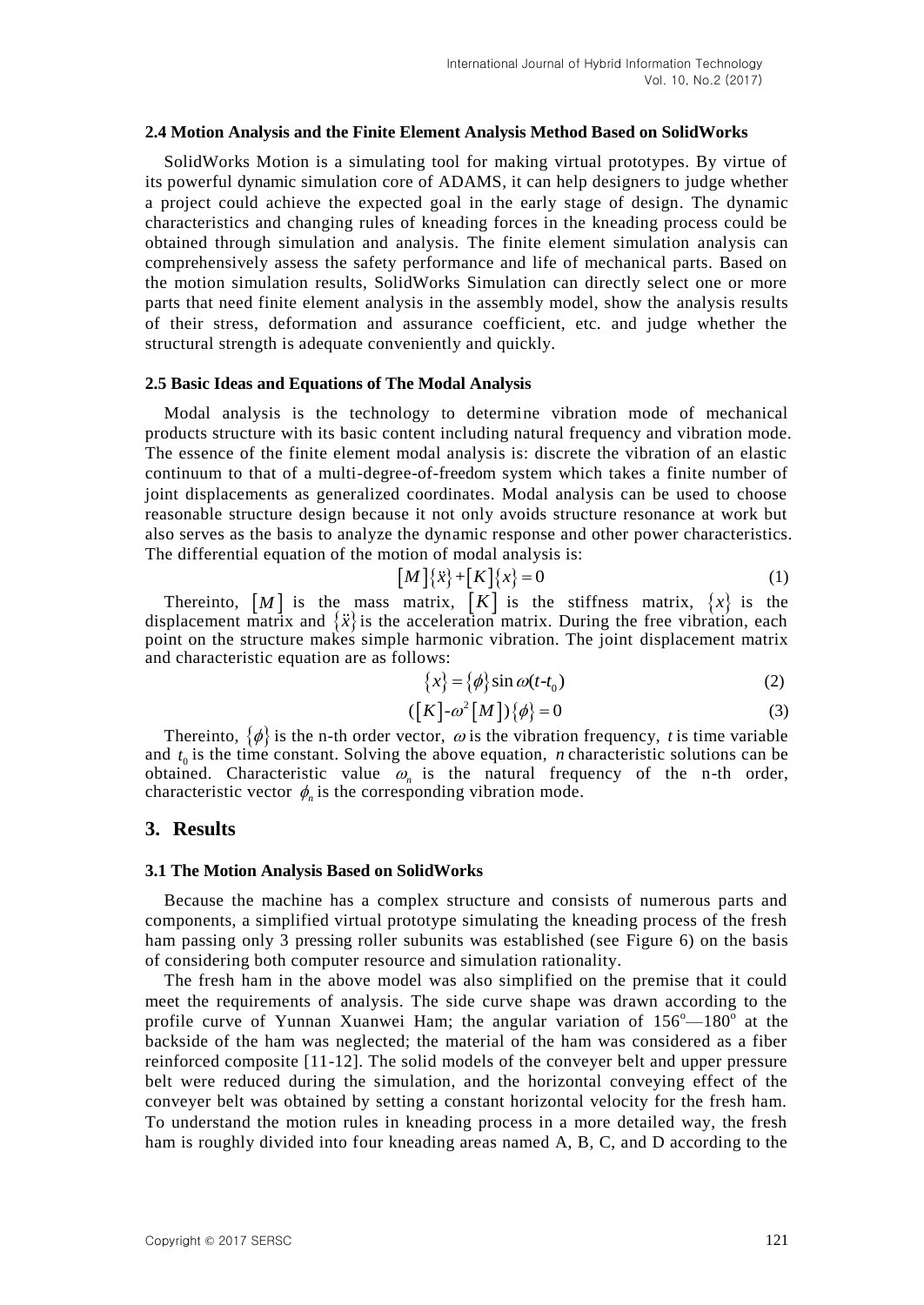#### **2.4 Motion Analysis and the Finite Element Analysis Method Based on SolidWorks**

SolidWorks Motion is a simulating tool for making virtual prototypes. By virtue of its powerful dynamic simulation core of ADAMS, it can help designers to judge whether a project could achieve the expected goal in the early stage of design. The dynamic characteristics and changing rules of kneading forces in the kneading process could be obtained through simulation and analysis. The finite element simulation analysis can comprehensively assess the safety performance and life of mechanical parts. Based on the motion simulation results, SolidWorks Simulation can directly select one or more parts that need finite element analysis in the assembly model, show the analysis results of their stress, deformation and assurance coefficient, etc. and judge whether the structural strength is adequate conveniently and quickly.

#### **2.5 Basic Ideas and Equations of The Modal Analysis**

Modal analysis is the technology to determine vibration mode of mechanical products structure with its basic content including natural frequency and vibration mode. The essence of the finite element modal analysis is: discrete the vibration of an elastic continuum to that of a multi-degree-of-freedom system which takes a finite number of joint displacements as generalized coordinates. Modal analysis can be used to choose reasonable structure design because it not only avoids structure resonance at work but also serves as the basis to analyze the dynamic response and other power characteristics. The differential equation of the motion of modal analysis is:

$$
[M]\{\ddot{x}\} + [K]\{x\} = 0\tag{1}
$$

Thereinto,  $[M]$  is the mass matrix,  $[K]$  is the stiffness matrix,  $\{x\}$  is the displacement matrix and  $\{\ddot{x}\}\$ is the acceleration matrix. During the free vibration, each point on the structure makes simple harmonic vibration. The joint displacement matrix and characteristic equation are as follows:

$$
\{x\} = \{\phi\} \sin \omega (t - t_0)
$$
 (2)

$$
([K] \text{-} \omega^2 [M]) \{\phi\} = 0 \tag{3}
$$

Thereinto,  $\{\phi\}$  is the n-th order vector,  $\omega$  is the vibration frequency, t is time variable and  $t_0$  is the time constant. Solving the above equation, *n* characteristic solutions can be obtained. Characteristic value  $\omega_n$  is the natural frequency of the n-th order, characteristic vector  $\phi_n$  is the corresponding vibration mode.

### **3. Results**

#### **3.1 The Motion Analysis Based on SolidWorks**

Because the machine has a complex structure and consists of numerous parts and components, a simplified virtual prototype simulating the kneading process of the fresh ham passing only 3 pressing roller subunits was established (see Figure 6) on the basis of considering both computer resource and simulation rationality.

The fresh ham in the above model was also simplified on the premise that it could meet the requirements of analysis. The side curve shape was drawn according to the profile curve of Yunnan Xuanwei Ham; the angular variation of  $156^{\circ} - 180^{\circ}$  at the backside of the ham was neglected; the material of the ham was considered as a fiber reinforced composite [11-12]. The solid models of the conveyer belt and upper pressure belt were reduced during the simulation, and the horizontal conveying effect of the conveyer belt was obtained by setting a constant horizontal velocity for the fresh ham. To understand the motion rules in kneading process in a more detailed way, the fresh ham is roughly divided into four kneading areas named A, B, C, and D according to the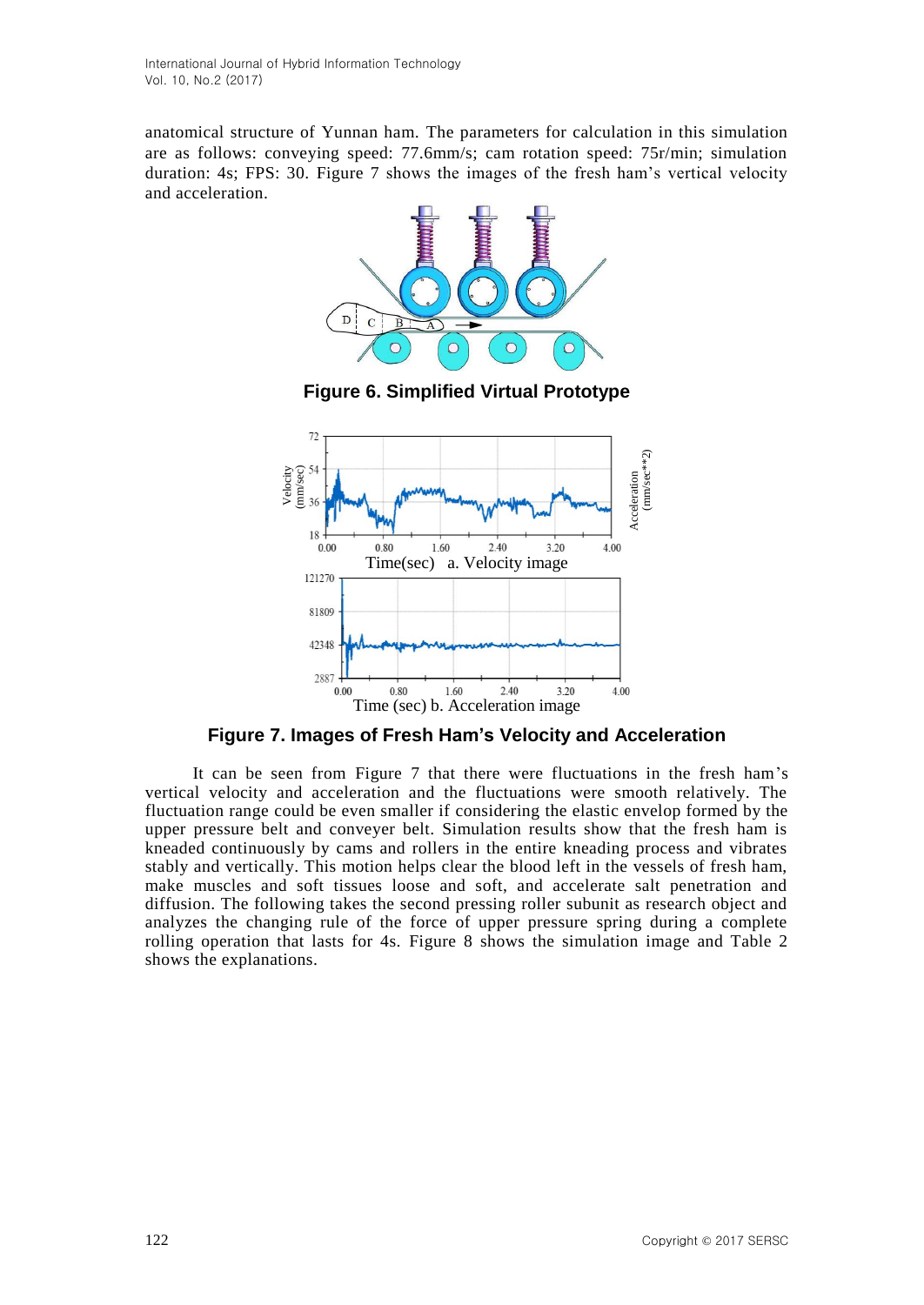anatomical structure of Yunnan ham. The parameters for calculation in this simulation are as follows: conveying speed: 77.6mm/s; cam rotation speed: 75r/min; simulation duration: 4s; FPS: 30. Figure 7 shows the images of the fresh ham's vertical velocity and acceleration.







**Figure 7. Images of Fresh Ham's Velocity and Acceleration**

 It can be seen from Figure 7 that there were fluctuations in the fresh ham's vertical velocity and acceleration and the fluctuations were smooth relatively. The fluctuation range could be even smaller if considering the elastic envelop formed by the upper pressure belt and conveyer belt. Simulation results show that the fresh ham is kneaded continuously by cams and rollers in the entire kneading process and vibrates stably and vertically. This motion helps clear the blood left in the vessels of fresh ham, make muscles and soft tissues loose and soft, and accelerate salt penetration and diffusion. The following takes the second pressing roller subunit as research object and analyzes the changing rule of the force of upper pressure spring during a complete rolling operation that lasts for 4s. Figure 8 shows the simulation image and Table 2 Figure 7. Ima<br>  $\frac{12}{3}$ <br>  $\frac{12}{3}$ <br>  $\frac{12}{3}$ <br>  $\frac{12}{3}$ <br>  $\frac{12}{3}$ <br>  $\frac{12}{3}$ <br>  $\frac{12}{3}$ <br>  $\frac{12}{3}$ <br>  $\frac{12}{3}$ <br>  $\frac{12}{3}$ <br>  $\frac{12}{3}$ <br>  $\frac{12}{3}$ <br>  $\frac{12}{3}$ <br>  $\frac{12}{3}$ <br>  $\frac{12}{3}$ <br>  $\frac{12}{3}$ <br>  $\frac{12}{3}$ <br>  $\$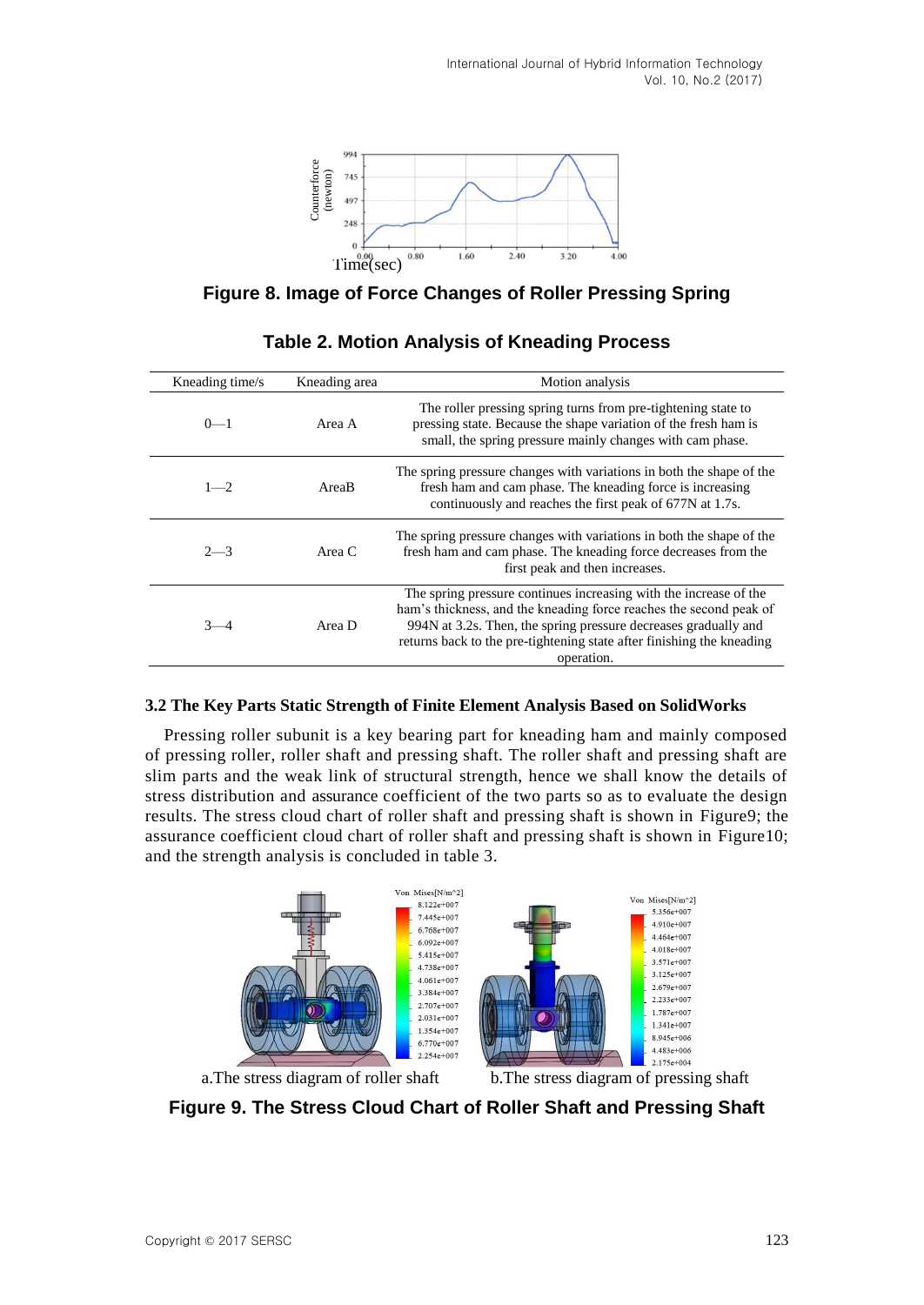

**Figure 8. Image of Force Changes of Roller Pressing Spring**

|                                                     | Counterforce<br>(newton)<br>745<br>497<br>248<br>$\bf{0}$<br>0.00<br>Time(sec) | 0.80<br>1.60<br>2.40<br>3.20<br>4.00<br><b>Figure 8. Image of Force Changes of Roller Pressing Spring</b>                                                                                                                                                                                                                                                                                                                                                                                                                                                                                                                                                                         |  |  |  |
|-----------------------------------------------------|--------------------------------------------------------------------------------|-----------------------------------------------------------------------------------------------------------------------------------------------------------------------------------------------------------------------------------------------------------------------------------------------------------------------------------------------------------------------------------------------------------------------------------------------------------------------------------------------------------------------------------------------------------------------------------------------------------------------------------------------------------------------------------|--|--|--|
| <b>Table 2. Motion Analysis of Kneading Process</b> |                                                                                |                                                                                                                                                                                                                                                                                                                                                                                                                                                                                                                                                                                                                                                                                   |  |  |  |
| Kneading time/s                                     | Kneading area                                                                  | Motion analysis                                                                                                                                                                                                                                                                                                                                                                                                                                                                                                                                                                                                                                                                   |  |  |  |
| $0 - 1$                                             | Area A                                                                         | The roller pressing spring turns from pre-tightening state to<br>pressing state. Because the shape variation of the fresh ham is<br>small, the spring pressure mainly changes with cam phase.                                                                                                                                                                                                                                                                                                                                                                                                                                                                                     |  |  |  |
| $1 - 2$                                             | AreaB                                                                          | The spring pressure changes with variations in both the shape of the<br>fresh ham and cam phase. The kneading force is increasing<br>continuously and reaches the first peak of 677N at 1.7s.                                                                                                                                                                                                                                                                                                                                                                                                                                                                                     |  |  |  |
| $2 - 3$                                             | Area C                                                                         | The spring pressure changes with variations in both the shape of the<br>fresh ham and cam phase. The kneading force decreases from the<br>first peak and then increases.                                                                                                                                                                                                                                                                                                                                                                                                                                                                                                          |  |  |  |
| $3 - 4$                                             | Area D                                                                         | The spring pressure continues increasing with the increase of the<br>ham's thickness, and the kneading force reaches the second peak of<br>994N at 3.2s. Then, the spring pressure decreases gradually and<br>returns back to the pre-tightening state after finishing the kneading<br>operation.                                                                                                                                                                                                                                                                                                                                                                                 |  |  |  |
| and the strength analysis is concluded in table 3.  |                                                                                | 3.2 The Key Parts Static Strength of Finite Element Analysis Based on SolidWorks<br>Pressing roller subunit is a key bearing part for kneading ham and mainly composed<br>of pressing roller, roller shaft and pressing shaft. The roller shaft and pressing shaft are<br>slim parts and the weak link of structural strength, hence we shall know the details of<br>stress distribution and assurance coefficient of the two parts so as to evaluate the design<br>results. The stress cloud chart of roller shaft and pressing shaft is shown in Figure9; the<br>assurance coefficient cloud chart of roller shaft and pressing shaft is shown in Figure10;<br>Von Mises[N/m^2] |  |  |  |
|                                                     |                                                                                | Von Mises[N/m^2]<br>8.122e+007<br>5.356e+007<br>7.445e+007<br>4.910e+007<br>$6.768e+007$<br>4.464e+007<br>6.092e+007<br>4.018e+007<br>5.415e+007<br>3.571e+007<br>4.738e+007<br>3.125e+007<br>4.061e+007<br>$2.679e+007$<br>3.384e+007<br>2.233e+007<br>2.707e+007<br>1.787e+007<br>2.031e+007<br>1.341e+007<br>1.354e+007<br>8.945e+006<br>$6.770e+007$<br>4.483e+006<br>2.254e+007<br>2.175e+004                                                                                                                                                                                                                                                                                |  |  |  |
|                                                     | a. The stress diagram of roller shaft                                          | b. The stress diagram of pressing shaft<br>Figure 9. The Stress Cloud Chart of Roller Shaft and Pressing Shaft                                                                                                                                                                                                                                                                                                                                                                                                                                                                                                                                                                    |  |  |  |

# **Table 2. Motion Analysis of Kneading Process**

# **3.2 The Key Parts Static Strength of Finite Element Analysis Based on SolidWorks**

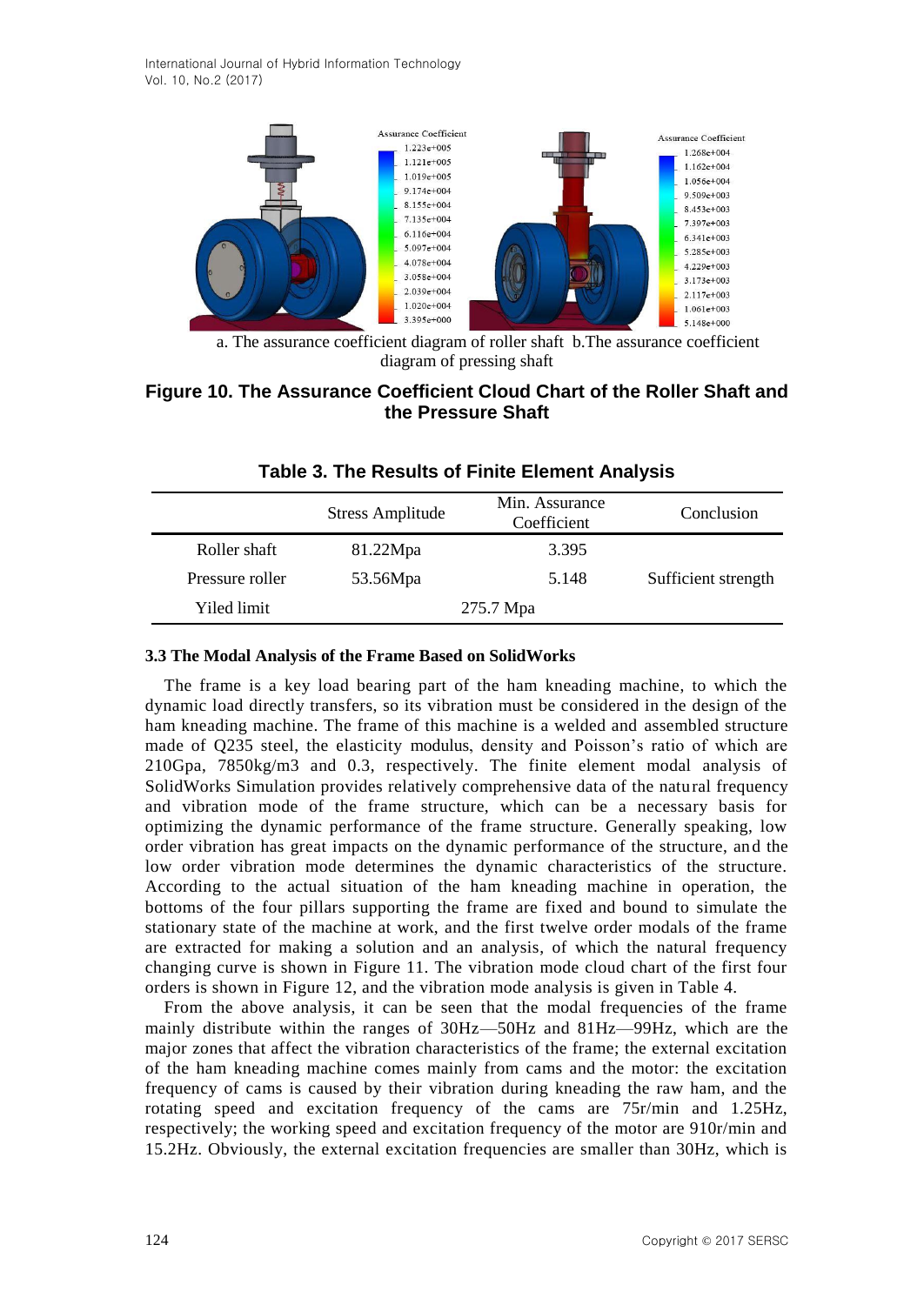International Journal of Hybrid Information Technology Vol. 10, No.2 (2017)



 a. The assurance coefficient diagram of roller shaft b.The assurance coefficient diagram of pressing shaft

# **Figure 10. The Assurance Coefficient Cloud Chart of the Roller Shaft and the Pressure Shaft**

|                 | <b>Stress Amplitude</b> | Min. Assurance<br>Coefficient | Conclusion          |
|-----------------|-------------------------|-------------------------------|---------------------|
| Roller shaft    | 81.22Mpa                | 3.395                         |                     |
| Pressure roller | 53.56Mpa                | 5.148                         | Sufficient strength |
| Yiled limit     |                         | 275.7 Mpa                     |                     |

## **Table 3. The Results of Finite Element Analysis**

#### **3.3 The Modal Analysis of the Frame Based on SolidWorks**

The frame is a key load bearing part of the ham kneading machine, to which the dynamic load directly transfers, so its vibration must be considered in the design of the ham kneading machine. The frame of this machine is a welded and assembled structure made of Q235 steel, the elasticity modulus, density and Poisson's ratio of which are 210Gpa, 7850kg/m3 and 0.3, respectively. The finite element modal analysis of SolidWorks Simulation provides relatively comprehensive data of the natural frequency and vibration mode of the frame structure, which can be a necessary basis for optimizing the dynamic performance of the frame structure. Generally speaking, low order vibration has great impacts on the dynamic performance of the structure, and the low order vibration mode determines the dynamic characteristics of the structure. According to the actual situation of the ham kneading machine in operation, the bottoms of the four pillars supporting the frame are fixed and bound to simulate the stationary state of the machine at work, and the first twelve order modals of the frame are extracted for making a solution and an analysis, of which the natural frequency changing curve is shown in Figure 11. The vibration mode cloud chart of the first four orders is shown in Figure 12, and the vibration mode analysis is given in Table 4.

From the above analysis, it can be seen that the modal frequencies of the frame mainly distribute within the ranges of 30Hz—50Hz and 81Hz—99Hz, which are the major zones that affect the vibration characteristics of the frame; the external excitation of the ham kneading machine comes mainly from cams and the motor: the excitation frequency of cams is caused by their vibration during kneading the raw ham, and the rotating speed and excitation frequency of the cams are 75r/min and 1.25Hz, respectively; the working speed and excitation frequency of the motor are 910r/min and 15.2Hz. Obviously, the external excitation frequencies are smaller than 30Hz, which is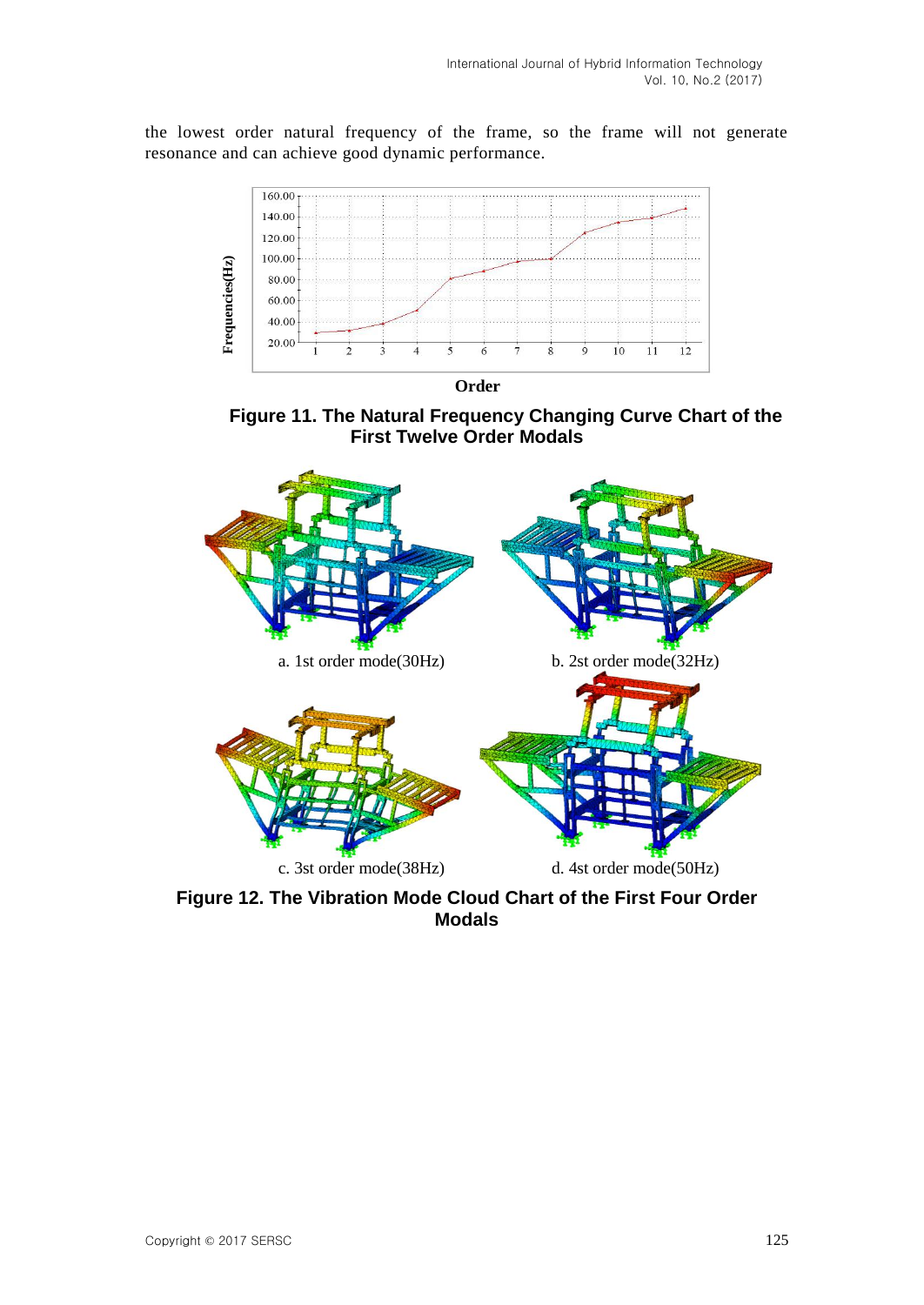the lowest order natural frequency of the frame, so the frame will not generate resonance and can achieve good dynamic performance.



 **Order**





**Figure 12. The Vibration Mode Cloud Chart of the First Four Order Modals**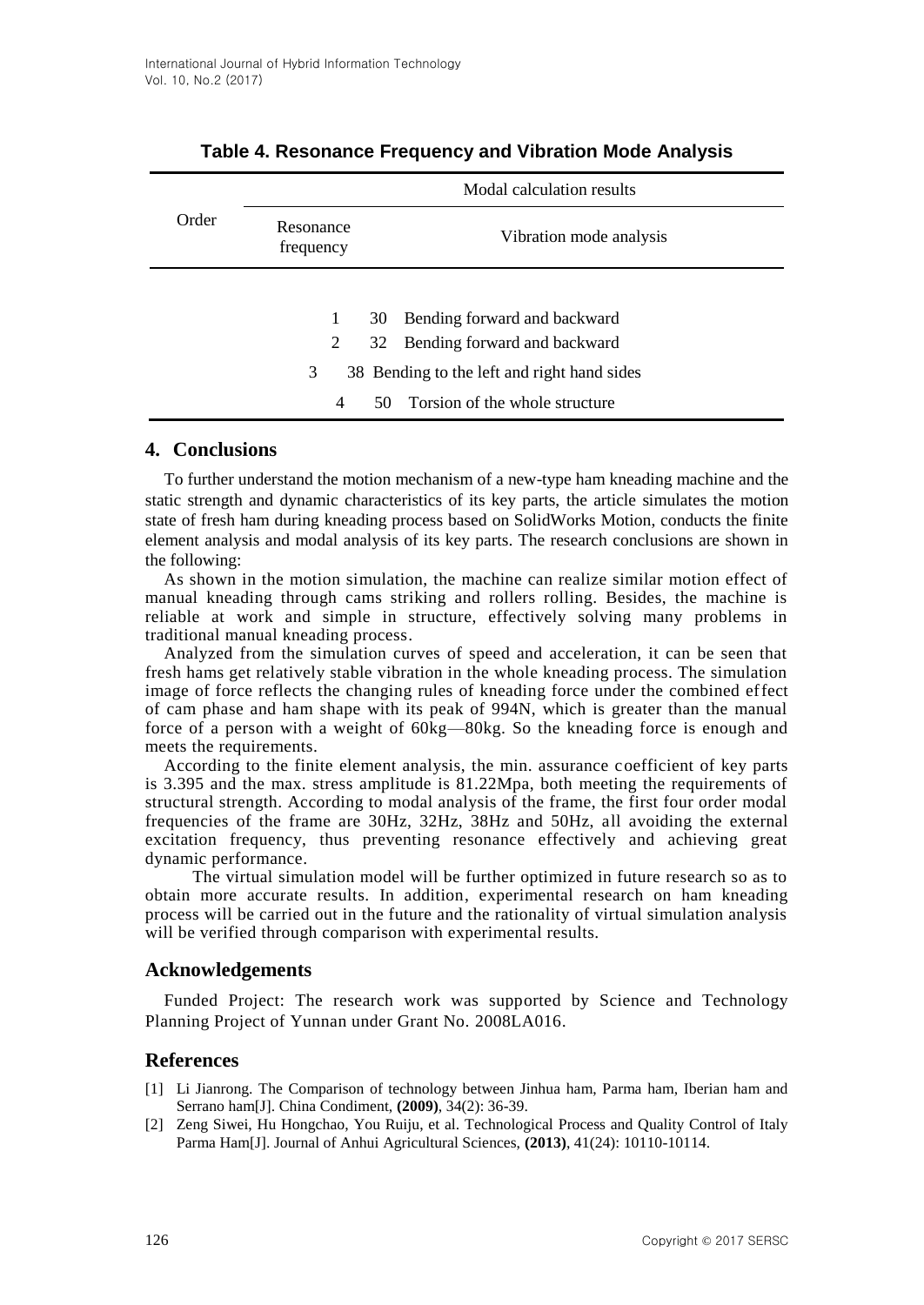|       |                        | Modal calculation results                                             |
|-------|------------------------|-----------------------------------------------------------------------|
| Order | Resonance<br>frequency | Vibration mode analysis                                               |
|       | 1<br>2                 | Bending forward and backward<br>30<br>32 Bending forward and backward |
|       | 3                      | 38 Bending to the left and right hand sides                           |
|       | 4                      | 50 Torsion of the whole structure                                     |

## **Table 4. Resonance Frequency and Vibration Mode Analysis**

### **4. Conclusions**

To further understand the motion mechanism of a new-type ham kneading machine and the static strength and dynamic characteristics of its key parts, the article simulates the motion state of fresh ham during kneading process based on SolidWorks Motion, conducts the finite element analysis and modal analysis of its key parts. The research conclusions are shown in the following:

As shown in the motion simulation, the machine can realize similar motion effect of manual kneading through cams striking and rollers rolling. Besides, the machine is reliable at work and simple in structure, effectively solving many problems in traditional manual kneading process.

Analyzed from the simulation curves of speed and acceleration, it can be seen that fresh hams get relatively stable vibration in the whole kneading process. The simulation image of force reflects the changing rules of kneading force under the combined effect of cam phase and ham shape with its peak of 994N, which is greater than the manual force of a person with a weight of 60kg—80kg. So the kneading force is enough and meets the requirements.

According to the finite element analysis, the min. assurance coefficient of key parts is 3.395 and the max. stress amplitude is 81.22Mpa, both meeting the requirements of structural strength. According to modal analysis of the frame, the first four order modal frequencies of the frame are 30Hz, 32Hz, 38Hz and 50Hz, all avoiding the external excitation frequency, thus preventing resonance effectively and achieving great dynamic performance.

 The virtual simulation model will be further optimized in future research so as to obtain more accurate results. In addition, experimental research on ham kneading process will be carried out in the future and the rationality of virtual simulation analysis will be verified through comparison with experimental results.

### **Acknowledgements**

Funded Project: The research work was supported by Science and Technology Planning Project of Yunnan under Grant No. 2008LA016.

# **References**

- [1] Li Jianrong. The Comparison of technology between Jinhua ham, Parma ham, Iberian ham and Serrano ham[J]. China Condiment, **(2009)**, 34(2): 36-39.
- [2] Zeng Siwei, Hu Hongchao, You Ruiju, et al. Technological Process and Quality Control of Italy Parma Ham[J]. Journal of Anhui Agricultural Sciences, **(2013)**, 41(24): 10110-10114.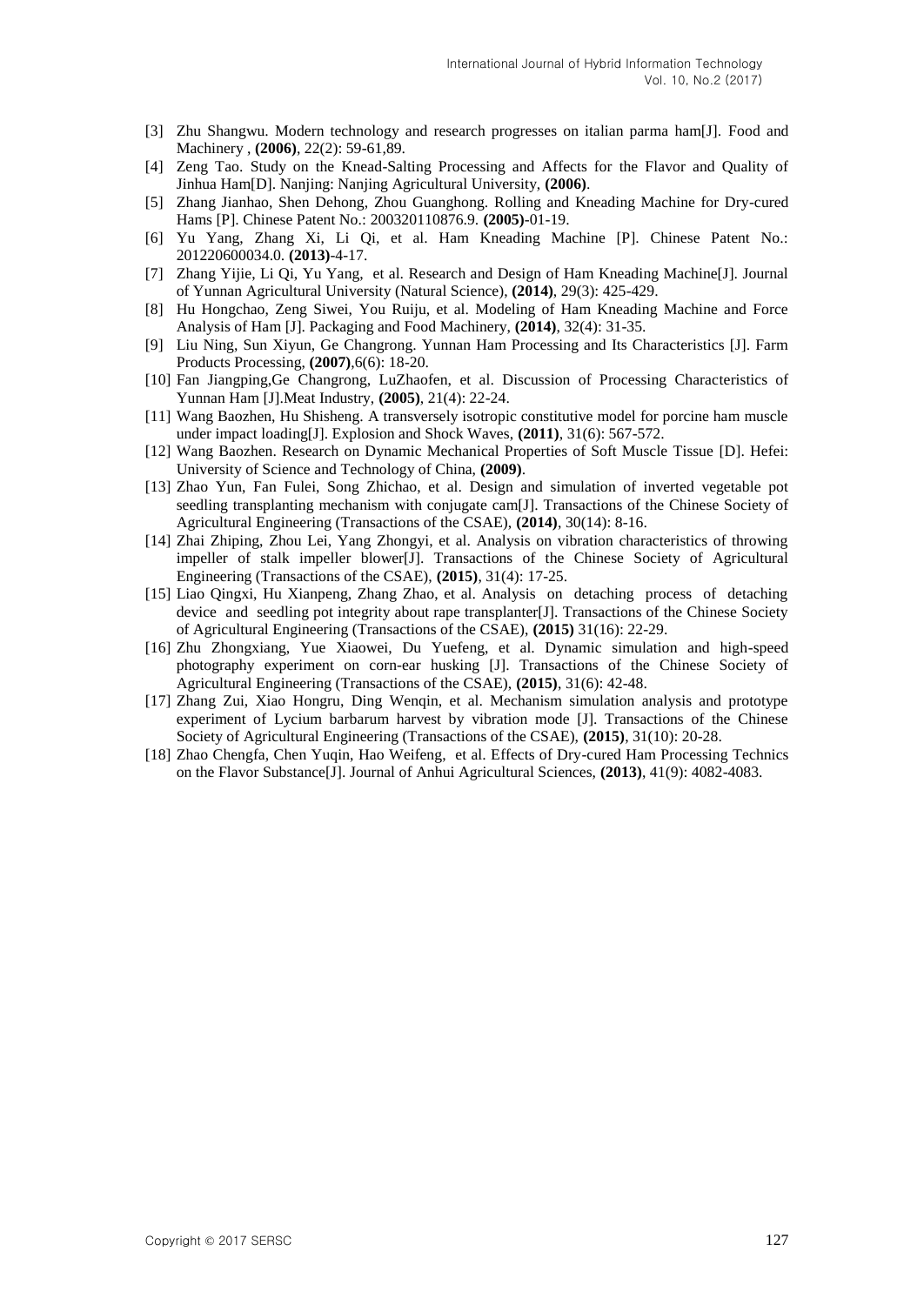- [3] Zhu Shangwu. Modern technology and research progresses on italian parma ham[J]. Food and Machinery , **(2006)**, 22(2): 59-61,89.
- [4] Zeng Tao. Study on the Knead-Salting Processing and Affects for the Flavor and Quality of Jinhua Ham[D]. Nanjing: Nanjing Agricultural University, **(2006)**.
- [5] Zhang Jianhao, Shen Dehong, Zhou Guanghong. Rolling and Kneading Machine for Dry-cured Hams [P]. Chinese Patent No.: 200320110876.9. **(2005)**-01-19.
- [6] Yu Yang, Zhang Xi, Li Qi, et al. Ham Kneading Machine [P]. Chinese Patent No.: 201220600034.0. **(2013)**-4-17.
- [7] Zhang Yijie, Li Qi, Yu Yang, et al. Research and Design of Ham Kneading Machine[J]. Journal of Yunnan Agricultural University (Natural Science), **(2014)**, 29(3): 425-429.
- [8] Hu Hongchao, Zeng Siwei, You Ruiju, et al. Modeling of Ham Kneading Machine and Force Analysis of Ham [J]. Packaging and Food Machinery, **(2014)**, 32(4): 31-35.
- [9] Liu Ning, Sun Xiyun, Ge Changrong. Yunnan Ham Processing and Its Characteristics [J]. Farm Products Processing, **(2007)**,6(6): 18-20.
- [10] Fan Jiangping,Ge Changrong, LuZhaofen, et al. Discussion of Processing Characteristics of Yunnan Ham [J].Meat Industry, **(2005)**, 21(4): 22-24.
- [11] Wang Baozhen, Hu Shisheng. A transversely isotropic constitutive model for porcine ham muscle under impact loading[J]. Explosion and Shock Waves, **(2011)**, 31(6): 567-572.
- [12] Wang Baozhen. Research on Dynamic Mechanical Properties of Soft Muscle Tissue [D]. Hefei: University of Science and Technology of China, **(2009)**.
- [13] Zhao Yun, Fan Fulei, Song Zhichao, et al. Design and simulation of inverted vegetable pot seedling transplanting mechanism with conjugate cam[J]. Transactions of the Chinese Society of Agricultural Engineering (Transactions of the CSAE), **(2014)**, 30(14): 8-16.
- [14] Zhai Zhiping, Zhou Lei, Yang Zhongyi, et al. Analysis on vibration characteristics of throwing impeller of stalk impeller blower[J]. Transactions of the Chinese Society of Agricultural Engineering (Transactions of the CSAE), **(2015)**, 31(4): 17-25.
- [15] Liao Qingxi, Hu Xianpeng, Zhang Zhao, et al. Analysis on detaching process of detaching device and seedling pot integrity about rape transplanter[J]. Transactions of the Chinese Society of Agricultural Engineering (Transactions of the CSAE), **(2015)** 31(16): 22-29.
- [16] Zhu Zhongxiang, Yue Xiaowei, Du Yuefeng, et al. Dynamic simulation and high-speed photography experiment on corn-ear husking [J]. Transactions of the Chinese Society of Agricultural Engineering (Transactions of the CSAE), **(2015)**, 31(6): 42-48.
- [17] Zhang Zui, Xiao Hongru, Ding Wenqin, et al. Mechanism simulation analysis and prototype experiment of Lycium barbarum harvest by vibration mode [J]. Transactions of the Chinese Society of Agricultural Engineering (Transactions of the CSAE), **(2015)**, 31(10): 20-28.
- [18] Zhao Chengfa, Chen Yuqin, Hao Weifeng, et al. Effects of Dry-cured Ham Processing Technics on the Flavor Substance[J]. Journal of Anhui Agricultural Sciences, **(2013)**, 41(9): 4082-4083.